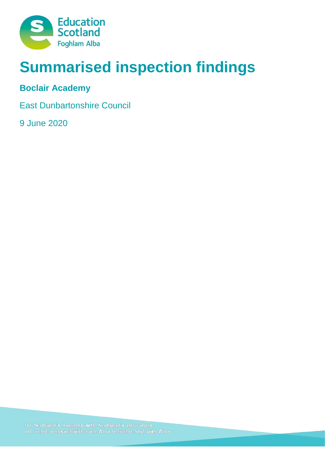

# **Summarised inspection findings**

# **Boclair Academy**

East Dunbartonshire Council

9 June 2020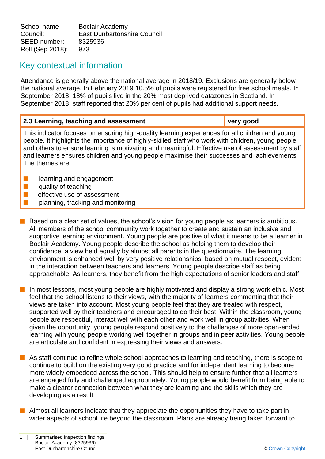School name Boclair Academy Council: East Dunbartonshire Council SEED number: 8325936 Roll (Sep 2018): 973

# Key contextual information

Attendance is generally above the national average in 2018/19. Exclusions are generally below the national average. In February 2019 10.5% of pupils were registered for free school meals. In September 2018, 18% of pupils live in the 20% most deprived datazones in Scotland. In September 2018, staff reported that 20% per cent of pupils had additional support needs.

| 2.3 Learning, teaching and assessment                                                                                                                                                                                                                                                                                                                                                                                    | very good |  |
|--------------------------------------------------------------------------------------------------------------------------------------------------------------------------------------------------------------------------------------------------------------------------------------------------------------------------------------------------------------------------------------------------------------------------|-----------|--|
| This indicator focuses on ensuring high-quality learning experiences for all children and young<br>people. It highlights the importance of highly-skilled staff who work with children, young people<br>and others to ensure learning is motivating and meaningful. Effective use of assessment by staff<br>and learners ensures children and young people maximise their successes and achievements.<br>The themes are: |           |  |
| learning and engagement<br>وموزوا ومرمه فمريدا المرزوم                                                                                                                                                                                                                                                                                                                                                                   |           |  |

- quality of teaching
- effective use of assessment
- planning, tracking and monitoring
- **n** Based on a clear set of values, the school's vision for young people as learners is ambitious. All members of the school community work together to create and sustain an inclusive and supportive learning environment. Young people are positive of what it means to be a learner in Boclair Academy. Young people describe the school as helping them to develop their confidence, a view held equally by almost all parents in the questionnaire. The learning environment is enhanced well by very positive relationships, based on mutual respect, evident in the interaction between teachers and learners. Young people describe staff as being approachable. As learners, they benefit from the high expectations of senior leaders and staff.

**n** In most lessons, most young people are highly motivated and display a strong work ethic. Most feel that the school listens to their views, with the majority of learners commenting that their views are taken into account. Most young people feel that they are treated with respect, supported well by their teachers and encouraged to do their best. Within the classroom, young people are respectful, interact well with each other and work well in group activities. When given the opportunity, young people respond positively to the challenges of more open-ended learning with young people working well together in groups and in peer activities. Young people are articulate and confident in expressing their views and answers.

- **n** As staff continue to refine whole school approaches to learning and teaching, there is scope to continue to build on the existing very good practice and for independent learning to become more widely embedded across the school. This should help to ensure further that all learners are engaged fully and challenged appropriately. Young people would benefit from being able to make a clearer connection between what they are learning and the skills which they are developing as a result.
- $\blacksquare$  Almost all learners indicate that they appreciate the opportunities they have to take part in wider aspects of school life beyond the classroom. Plans are already being taken forward to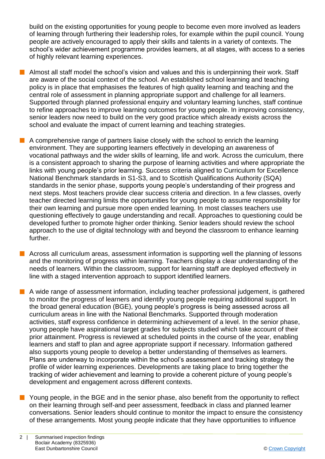build on the existing opportunities for young people to become even more involved as leaders of learning through furthering their leadership roles, for example within the pupil council. Young people are actively encouraged to apply their skills and talents in a variety of contexts. The school's wider achievement programme provides learners, at all stages, with access to a series of highly relevant learning experiences.

- n Almost all staff model the school's vision and values and this is underpinning their work. Staff are aware of the social context of the school. An established school learning and teaching policy is in place that emphasises the features of high quality learning and teaching and the central role of assessment in planning appropriate support and challenge for all learners. Supported through planned professional enquiry and voluntary learning lunches, staff continue to refine approaches to improve learning outcomes for young people. In improving consistency, senior leaders now need to build on the very good practice which already exists across the school and evaluate the impact of current learning and teaching strategies.
- $\blacksquare$  A comprehensive range of partners liaise closely with the school to enrich the learning environment. They are supporting learners effectively in developing an awareness of vocational pathways and the wider skills of learning, life and work. Across the curriculum, there is a consistent approach to sharing the purpose of learning activities and where appropriate the links with young people's prior learning. Success criteria aligned to Curriculum for Excellence National Benchmark standards in S1-S3, and to Scottish Qualifications Authority (SQA) standards in the senior phase, supports young people's understanding of their progress and next steps. Most teachers provide clear success criteria and direction. In a few classes, overly teacher directed learning limits the opportunities for young people to assume responsibility for their own learning and pursue more open ended learning. In most classes teachers use questioning effectively to gauge understanding and recall. Approaches to questioning could be developed further to promote higher order thinking. Senior leaders should review the school approach to the use of digital technology with and beyond the classroom to enhance learning further.
- $\blacksquare$  Across all curriculum areas, assessment information is supporting well the planning of lessons and the monitoring of progress within learning. Teachers display a clear understanding of the needs of learners. Within the classroom, support for learning staff are deployed effectively in line with a staged intervention approach to support identified learners.
- **n** A wide range of assessment information, including teacher professional judgement, is gathered to monitor the progress of learners and identify young people requiring additional support. In the broad general education (BGE), young people's progress is being assessed across all curriculum areas in line with the National Benchmarks. Supported through moderation activities, staff express confidence in determining achievement of a level. In the senior phase, young people have aspirational target grades for subjects studied which take account of their prior attainment. Progress is reviewed at scheduled points in the course of the year, enabling learners and staff to plan and agree appropriate support if necessary. Information gathered also supports young people to develop a better understanding of themselves as learners. Plans are underway to incorporate within the school's assessment and tracking strategy the profile of wider learning experiences. Developments are taking place to bring together the tracking of wider achievement and learning to provide a coherent picture of young people's development and engagement across different contexts.
- $\blacksquare$  Young people, in the BGE and in the senior phase, also benefit from the opportunity to reflect on their learning through self-and peer assessment, feedback in class and planned learner conversations. Senior leaders should continue to monitor the impact to ensure the consistency of these arrangements. Most young people indicate that they have opportunities to influence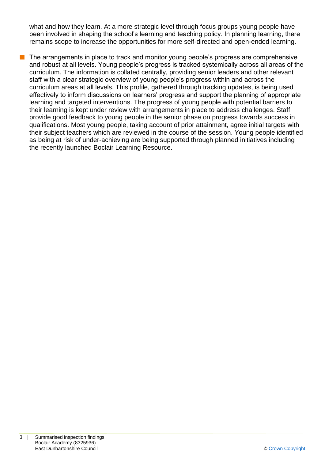what and how they learn. At a more strategic level through focus groups young people have been involved in shaping the school's learning and teaching policy. In planning learning, there remains scope to increase the opportunities for more self-directed and open-ended learning.

 $\blacksquare$  The arrangements in place to track and monitor young people's progress are comprehensive and robust at all levels. Young people's progress is tracked systemically across all areas of the curriculum. The information is collated centrally, providing senior leaders and other relevant staff with a clear strategic overview of young people's progress within and across the curriculum areas at all levels. This profile, gathered through tracking updates, is being used effectively to inform discussions on learners' progress and support the planning of appropriate learning and targeted interventions. The progress of young people with potential barriers to their learning is kept under review with arrangements in place to address challenges. Staff provide good feedback to young people in the senior phase on progress towards success in qualifications. Most young people, taking account of prior attainment, agree initial targets with their subject teachers which are reviewed in the course of the session. Young people identified as being at risk of under-achieving are being supported through planned initiatives including the recently launched Boclair Learning Resource.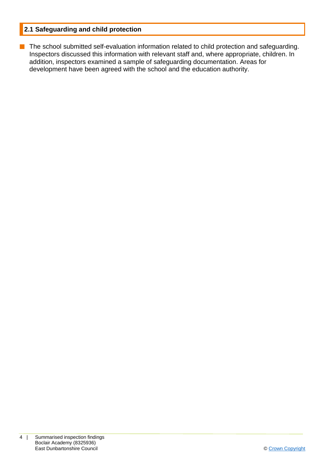# **2.1 Safeguarding and child protection**

**n** The school submitted self-evaluation information related to child protection and safeguarding. Inspectors discussed this information with relevant staff and, where appropriate, children. In addition, inspectors examined a sample of safeguarding documentation. Areas for development have been agreed with the school and the education authority.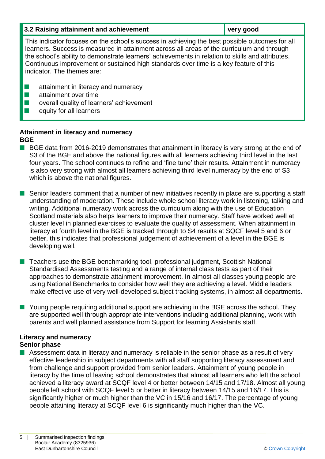| 3.2 Raising attainment and achievement                                                                                                                                                                                                                                                                                                                                                                                  | very good |
|-------------------------------------------------------------------------------------------------------------------------------------------------------------------------------------------------------------------------------------------------------------------------------------------------------------------------------------------------------------------------------------------------------------------------|-----------|
| This indicator focuses on the school's success in achieving the best possible outcomes for all<br>learners. Success is measured in attainment across all areas of the curriculum and through<br>the school's ability to demonstrate learners' achievements in relation to skills and attributes.<br>Continuous improvement or sustained high standards over time is a key feature of this<br>indicator. The themes are: |           |

- $\blacksquare$  attainment in literacy and numeracy
- $\blacksquare$  attainment over time
- $\blacksquare$  overall quality of learners' achievement
- $\blacksquare$  equity for all learners

### **Attainment in literacy and numeracy BGE**

- BGE data from 2016-2019 demonstrates that attainment in literacy is very strong at the end of S3 of the BGE and above the national figures with all learners achieving third level in the last four years. The school continues to refine and 'fine tune' their results. Attainment in numeracy is also very strong with almost all learners achieving third level numeracy by the end of S3 which is above the national figures.
- $\blacksquare$  Senior leaders comment that a number of new initiatives recently in place are supporting a staff understanding of moderation. These include whole school literacy work in listening, talking and writing. Additional numeracy work across the curriculum along with the use of Education Scotland materials also helps learners to improve their numeracy. Staff have worked well at cluster level in planned exercises to evaluate the quality of assessment. When attainment in literacy at fourth level in the BGE is tracked through to S4 results at SQCF level 5 and 6 or better, this indicates that professional judgement of achievement of a level in the BGE is developing well.
- n Teachers use the BGE benchmarking tool, professional judgment, Scottish National Standardised Assessments testing and a range of internal class tests as part of their approaches to demonstrate attainment improvement. In almost all classes young people are using National Benchmarks to consider how well they are achieving a level. Middle leaders make effective use of very well-developed subject tracking systems, in almost all departments.
- **N** Young people requiring additional support are achieving in the BGE across the school. They are supported well through appropriate interventions including additional planning, work with parents and well planned assistance from Support for learning Assistants staff.

## **Literacy and numeracy Senior phase**

**n** Assessment data in literacy and numeracy is reliable in the senior phase as a result of very effective leadership in subject departments with all staff supporting literacy assessment and from challenge and support provided from senior leaders. Attainment of young people in literacy by the time of leaving school demonstrates that almost all learners who left the school achieved a literacy award at SCQF level 4 or better between 14/15 and 17/18. Almost all young people left school with SCQF level 5 or better in literacy between 14/15 and 16/17. This is significantly higher or much higher than the VC in 15/16 and 16/17. The percentage of young people attaining literacy at SCQF level 6 is significantly much higher than the VC.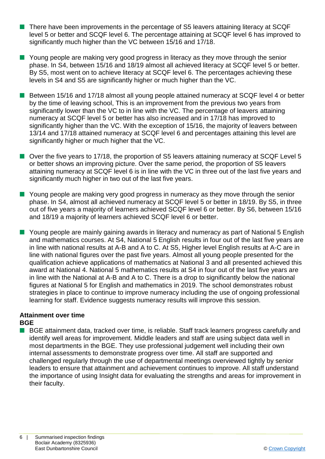- There have been improvements in the percentage of S5 leavers attaining literacy at SCQF level 5 or better and SCQF level 6. The percentage attaining at SCQF level 6 has improved to significantly much higher than the VC between 15/16 and 17/18.
- **n** Young people are making very good progress in literacy as they move through the senior phase. In S4, between 15/16 and 18/19 almost all achieved literacy at SCQF level 5 or better. By S5, most went on to achieve literacy at SCQF level 6. The percentages achieving these levels in S4 and S5 are significantly higher or much higher than the VC.
- Between 15/16 and 17/18 almost all young people attained numeracy at SCQF level 4 or better by the time of leaving school, This is an improvement from the previous two years from significantly lower than the VC to in line with the VC. The percentage of leavers attaining numeracy at SCQF level 5 or better has also increased and in 17/18 has improved to significantly higher than the VC. With the exception of 15/16, the majority of leavers between 13/14 and 17/18 attained numeracy at SCQF level 6 and percentages attaining this level are significantly higher or much higher that the VC.
- Over the five years to 17/18, the proportion of S5 leavers attaining numeracy at SCQF Level 5 or better shows an improving picture. Over the same period, the proportion of S5 leavers attaining numeracy at SCQF level 6 is in line with the VC in three out of the last five years and significantly much higher in two out of the last five years.
- **n** Young people are making very good progress in numeracy as they move through the senior phase. In S4, almost all achieved numeracy at SCQF level 5 or better in 18/19. By S5, in three out of five years a majority of learners achieved SCQF level 6 or better. By S6, between 15/16 and 18/19 a majority of learners achieved SCQF level 6 or better.
- Young people are mainly gaining awards in literacy and numeracy as part of National 5 English and mathematics courses. At S4, National 5 English results in four out of the last five years are in line with national results at A-B and A to C. At S5, Higher level English results at A-C are in line with national figures over the past five years. Almost all young people presented for the qualification achieve applications of mathematics at National 3 and all presented achieved this award at National 4. National 5 mathematics results at S4 in four out of the last five years are in line with the National at A-B and A to C. There is a drop to significantly below the national figures at National 5 for English and mathematics in 2019. The school demonstrates robust strategies in place to continue to improve numeracy including the use of ongoing professional learning for staff. Evidence suggests numeracy results will improve this session.

#### **Attainment over time BGE**

■ BGE attainment data, tracked over time, is reliable. Staff track learners progress carefully and identify well areas for improvement. Middle leaders and staff are using subject data well in most departments in the BGE. They use professional judgement well including their own internal assessments to demonstrate progress over time. All staff are supported and challenged regularly through the use of departmental meetings overviewed tightly by senior leaders to ensure that attainment and achievement continues to improve. All staff understand the importance of using Insight data for evaluating the strengths and areas for improvement in their faculty.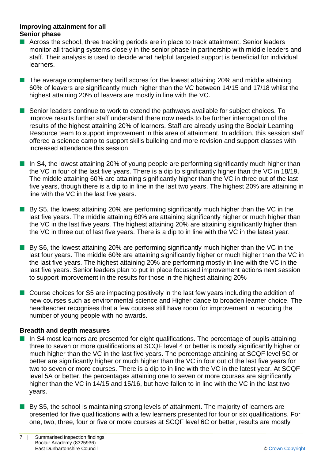#### **Improving attainment for all Senior phase**

- $\blacksquare$  Across the school, three tracking periods are in place to track attainment. Senior leaders monitor all tracking systems closely in the senior phase in partnership with middle leaders and staff. Their analysis is used to decide what helpful targeted support is beneficial for individual learners.
- $\blacksquare$  The average complementary tariff scores for the lowest attaining 20% and middle attaining 60% of leavers are significantly much higher than the VC between 14/15 and 17/18 whilst the highest attaining 20% of leavers are mostly in line with the VC.
- Senior leaders continue to work to extend the pathways available for subject choices. To improve results further staff understand there now needs to be further interrogation of the results of the highest attaining 20% of learners. Staff are already using the Boclair Learning Resource team to support improvement in this area of attainment. In addition, this session staff offered a science camp to support skills building and more revision and support classes with increased attendance this session.
- $\blacksquare$  In S4, the lowest attaining 20% of young people are performing significantly much higher than the VC in four of the last five years. There is a dip to significantly higher than the VC in 18/19. The middle attaining 60% are attaining significantly higher than the VC in three out of the last five years, though there is a dip to in line in the last two years. The highest 20% are attaining in line with the VC in the last five years.
- $\blacksquare$  By S5, the lowest attaining 20% are performing significantly much higher than the VC in the last five years. The middle attaining 60% are attaining significantly higher or much higher than the VC in the last five years. The highest attaining 20% are attaining significantly higher than the VC in three out of last five years. There is a dip to in line with the VC in the latest year.
- $\blacksquare$  By S6, the lowest attaining 20% are performing significantly much higher than the VC in the last four years. The middle 60% are attaining significantly higher or much higher than the VC in the last five years. The highest attaining 20% are performing mostly in line with the VC in the last five years. Senior leaders plan to put in place focussed improvement actions next session to support improvement in the results for those in the highest attaining 20%
- Course choices for S5 are impacting positively in the last few years including the addition of new courses such as environmental science and Higher dance to broaden learner choice. The headteacher recognises that a few courses still have room for improvement in reducing the number of young people with no awards.

#### **Breadth and depth measures**

- $\blacksquare$  In S4 most learners are presented for eight qualifications. The percentage of pupils attaining three to seven or more qualifications at SCQF level 4 or better is mostly significantly higher or much higher than the VC in the last five years. The percentage attaining at SCQF level 5C or better are significantly higher or much higher than the VC in four out of the last five years for two to seven or more courses. There is a dip to in line with the VC in the latest year. At SCQF level 5A or better, the percentages attaining one to seven or more courses are significantly higher than the VC in 14/15 and 15/16, but have fallen to in line with the VC in the last two years.
- $\blacksquare$  By S5, the school is maintaining strong levels of attainment. The majority of learners are presented for five qualifications with a few learners presented for four or six qualifications. For one, two, three, four or five or more courses at SCQF level 6C or better, results are mostly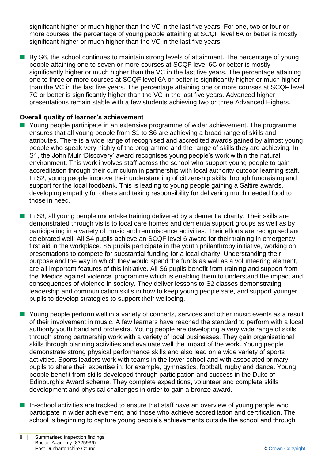significant higher or much higher than the VC in the last five years. For one, two or four or more courses, the percentage of young people attaining at SCQF level 6A or better is mostly significant higher or much higher than the VC in the last five years.

**n** By S6, the school continues to maintain strong levels of attainment. The percentage of young people attaining one to seven or more courses at SCQF level 6C or better is mostly significantly higher or much higher than the VC in the last five years. The percentage attaining one to three or more courses at SCQF level 6A or better is significantly higher or much higher than the VC in the last five years. The percentage attaining one or more courses at SCQF level 7C or better is significantly higher than the VC in the last five years. Advanced higher presentations remain stable with a few students achieving two or three Advanced Highers.

#### **Overall quality of learner's achievement**

- Young people participate in an extensive programme of wider achievement. The programme ensures that all young people from S1 to S6 are achieving a broad range of skills and attributes. There is a wide range of recognised and accredited awards gained by almost young people who speak very highly of the programme and the range of skills they are achieving. In S1, the John Muir 'Discovery' award recognises young people's work within the natural environment. This work involves staff across the school who support young people to gain accreditation through their curriculum in partnership with local authority outdoor learning staff. In S2, young people improve their understanding of citizenship skills through fundraising and support for the local foodbank. This is leading to young people gaining a Saltire awards, developing empathy for others and taking responsibility for delivering much needed food to those in need.
- $\blacksquare$  In S3, all young people undertake training delivered by a dementia charity. Their skills are demonstrated through visits to local care homes and dementia support groups as well as by participating in a variety of music and reminiscence activities. Their efforts are recognised and celebrated well. All S4 pupils achieve an SCQF level 6 award for their training in emergency first aid in the workplace. S5 pupils participate in the youth philanthropy initiative, working on presentations to compete for substantial funding for a local charity. Understanding their purpose and the way in which they would spend the funds as well as a volunteering element, are all important features of this initiative. All S6 pupils benefit from training and support from the 'Medics against violence' programme which is enabling them to understand the impact and consequences of violence in society. They deliver lessons to S2 classes demonstrating leadership and communication skills in how to keep young people safe, and support younger pupils to develop strategies to support their wellbeing.
- **N** Young people perform well in a variety of concerts, services and other music events as a result of their involvement in music. A few learners have reached the standard to perform with a local authority youth band and orchestra. Young people are developing a very wide range of skills through strong partnership work with a variety of local businesses. They gain organisational skills through planning activities and evaluate well the impact of the work. Young people demonstrate strong physical performance skills and also lead on a wide variety of sports activities. Sports leaders work with teams in the lower school and with associated primary pupils to share their expertise in, for example, gymnastics, football, rugby and dance. Young people benefit from skills developed through participation and success in the Duke of Edinburgh's Award scheme. They complete expeditions, volunteer and complete skills development and physical challenges in order to gain a bronze award.
- In-school activities are tracked to ensure that staff have an overview of young people who participate in wider achievement, and those who achieve accreditation and certification. The school is beginning to capture young people's achievements outside the school and through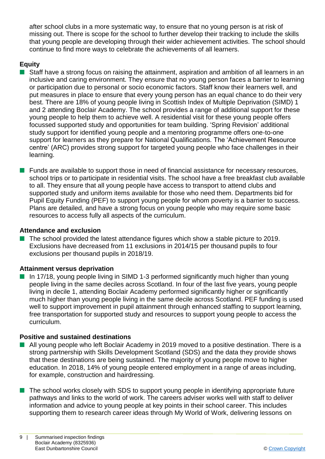after school clubs in a more systematic way, to ensure that no young person is at risk of missing out. There is scope for the school to further develop their tracking to include the skills that young people are developing through their wider achievement activities. The school should continue to find more ways to celebrate the achievements of all learners.

## **Equity**

- Staff have a strong focus on raising the attainment, aspiration and ambition of all learners in an inclusive and caring environment. They ensure that no young person faces a barrier to learning or participation due to personal or socio economic factors. Staff know their learners well, and put measures in place to ensure that every young person has an equal chance to do their very best. There are 18% of young people living in Scottish Index of Multiple Deprivation (SIMD) 1 and 2 attending Boclair Academy. The school provides a range of additional support for these young people to help them to achieve well. A residential visit for these young people offers focussed supported study and opportunities for team building. 'Spring Revision' additional study support for identified young people and a mentoring programme offers one-to-one support for learners as they prepare for National Qualifications. The 'Achievement Resource centre' (ARC) provides strong support for targeted young people who face challenges in their learning.
- $\blacksquare$  Funds are available to support those in need of financial assistance for necessary resources, school trips or to participate in residential visits. The school have a free breakfast club available to all. They ensure that all young people have access to transport to attend clubs and supported study and uniform items available for those who need them. Departments bid for Pupil Equity Funding (PEF) to support young people for whom poverty is a barrier to success. Plans are detailed, and have a strong focus on young people who may require some basic resources to access fully all aspects of the curriculum.

#### **Attendance and exclusion**

The school provided the latest attendance figures which show a stable picture to 2019. Exclusions have decreased from 11 exclusions in 2014/15 per thousand pupils to four exclusions per thousand pupils in 2018/19.

## **Attainment versus deprivation**

 $\blacksquare$  In 17/18, young people living in SIMD 1-3 performed significantly much higher than young people living in the same deciles across Scotland. In four of the last five years, young people living in decile 1, attending Boclair Academy performed significantly higher or significantly much higher than young people living in the same decile across Scotland. PEF funding is used well to support improvement in pupil attainment through enhanced staffing to support learning, free transportation for supported study and resources to support young people to access the curriculum.

## **Positive and sustained destinations**

- All young people who left Boclair Academy in 2019 moved to a positive destination. There is a strong partnership with Skills Development Scotland (SDS) and the data they provide shows that these destinations are being sustained. The majority of young people move to higher education. In 2018, 14% of young people entered employment in a range of areas including, for example, construction and hairdressing.
- $\blacksquare$  The school works closely with SDS to support young people in identifying appropriate future pathways and links to the world of work. The careers adviser works well with staff to deliver information and advice to young people at key points in their school career. This includes supporting them to research career ideas through My World of Work, delivering lessons on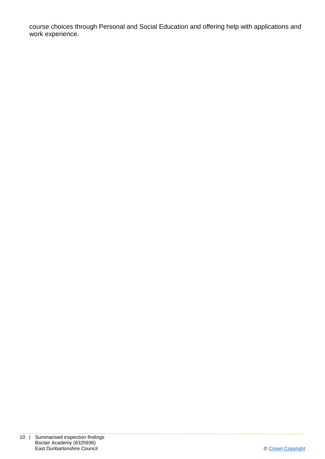course choices through Personal and Social Education and offering help with applications and work experience.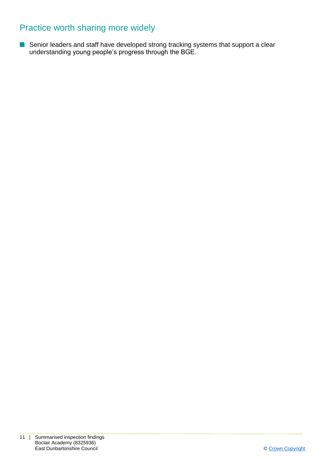# Practice worth sharing more widely

■ Senior leaders and staff have developed strong tracking systems that support a clear understanding young people's progress through the BGE.